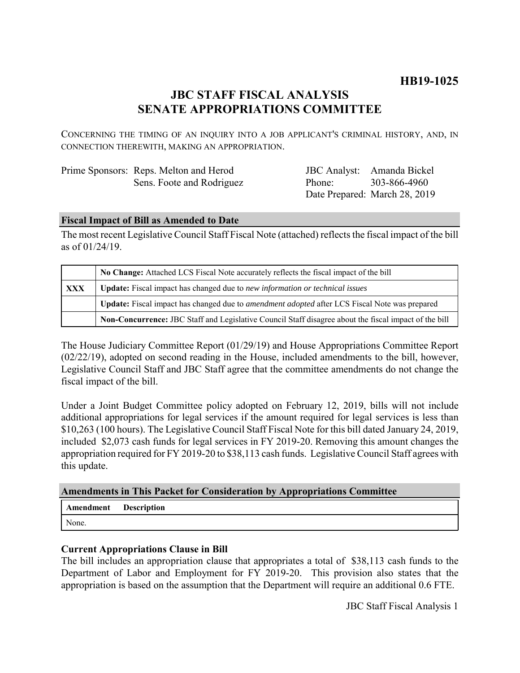## **HB19-1025**

### **JBC STAFF FISCAL ANALYSIS SENATE APPROPRIATIONS COMMITTEE**

CONCERNING THE TIMING OF AN INQUIRY INTO A JOB APPLICANT'S CRIMINAL HISTORY, AND, IN CONNECTION THEREWITH, MAKING AN APPROPRIATION.

| Prime Sponsors: Reps. Melton and Herod |
|----------------------------------------|
| Sens. Foote and Rodriguez              |

JBC Analyst: Amanda Bickel Phone: Date Prepared: March 28, 2019 303-866-4960

#### **Fiscal Impact of Bill as Amended to Date**

The most recent Legislative Council Staff Fiscal Note (attached) reflects the fiscal impact of the bill as of 01/24/19.

|            | No Change: Attached LCS Fiscal Note accurately reflects the fiscal impact of the bill                       |  |
|------------|-------------------------------------------------------------------------------------------------------------|--|
| <b>XXX</b> | Update: Fiscal impact has changed due to new information or technical issues                                |  |
|            | <b>Update:</b> Fiscal impact has changed due to <i>amendment adopted</i> after LCS Fiscal Note was prepared |  |
|            | Non-Concurrence: JBC Staff and Legislative Council Staff disagree about the fiscal impact of the bill       |  |

The House Judiciary Committee Report (01/29/19) and House Appropriations Committee Report (02/22/19), adopted on second reading in the House, included amendments to the bill, however, Legislative Council Staff and JBC Staff agree that the committee amendments do not change the fiscal impact of the bill.

Under a Joint Budget Committee policy adopted on February 12, 2019, bills will not include additional appropriations for legal services if the amount required for legal services is less than \$10,263 (100 hours). The Legislative Council Staff Fiscal Note for this bill dated January 24, 2019, included \$2,073 cash funds for legal services in FY 2019-20. Removing this amount changes the appropriation required for FY 2019-20 to \$38,113 cash funds. Legislative Council Staff agrees with this update.

#### **Amendments in This Packet for Consideration by Appropriations Committee**

| <b>Amendment</b> Description |  |
|------------------------------|--|
| None.                        |  |

#### **Current Appropriations Clause in Bill**

The bill includes an appropriation clause that appropriates a total of \$38,113 cash funds to the Department of Labor and Employment for FY 2019-20. This provision also states that the appropriation is based on the assumption that the Department will require an additional 0.6 FTE.